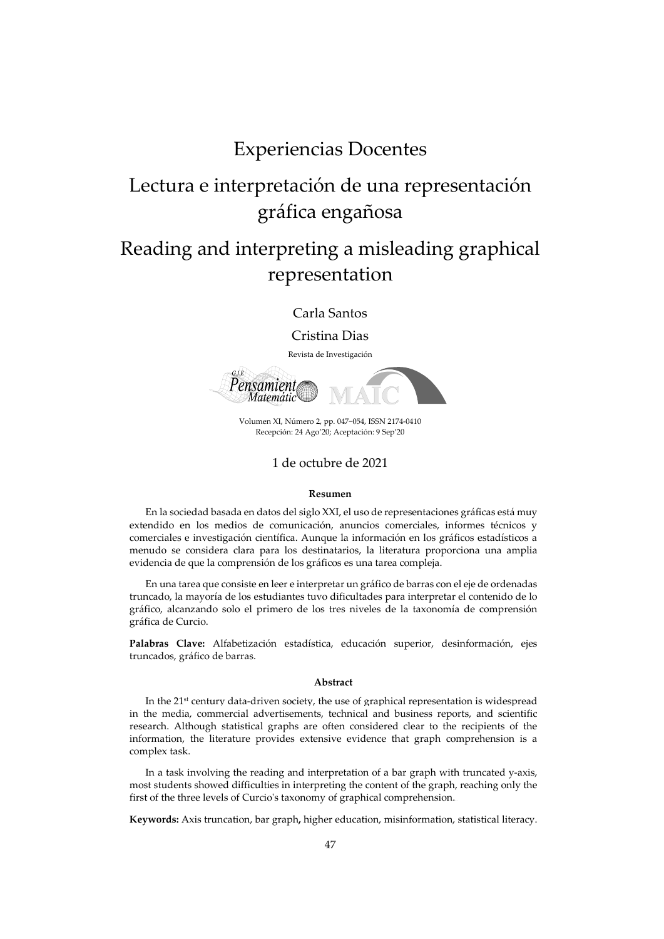## Experiencias Docentes

# Lectura e interpretación de una representación gráfica engañosa

# Reading and interpreting a misleading graphical representation

Carla Santos

Cristina Dias

Revista de Investigación



Volumen XI, Número 2, pp. 047−054, ISSN 2174-0410 Recepción: 24 Ago'20; Aceptación: 9 Sep'20

#### 1 de octubre de 2021

#### **Resumen**

En la sociedad basada en datos del siglo XXI, el uso de representaciones gráficas está muy extendido en los medios de comunicación, anuncios comerciales, informes técnicos y comerciales e investigación científica. Aunque la información en los gráficos estadísticos a menudo se considera clara para los destinatarios, la literatura proporciona una amplia evidencia de que la comprensión de los gráficos es una tarea compleja.

En una tarea que consiste en leer e interpretar un gráfico de barras con el eje de ordenadas truncado, la mayoría de los estudiantes tuvo dificultades para interpretar el contenido de lo gráfico, alcanzando solo el primero de los tres niveles de la taxonomía de comprensión gráfica de Curcio.

**Palabras Clave:** Alfabetización estadística, educación superior, desinformación, ejes truncados, gráfico de barras.

#### **Abstract**

In the  $21<sup>st</sup>$  century data-driven society, the use of graphical representation is widespread in the media, commercial advertisements, technical and business reports, and scientific research. Although statistical graphs are often considered clear to the recipients of the information, the literature provides extensive evidence that graph comprehension is a complex task.

In a task involving the reading and interpretation of a bar graph with truncated y-axis, most students showed difficulties in interpreting the content of the graph, reaching only the first of the three levels of Curcio's taxonomy of graphical comprehension.*..*

**Keywords:** Axis truncation, bar graph**,** higher education, misinformation, statistical literacy.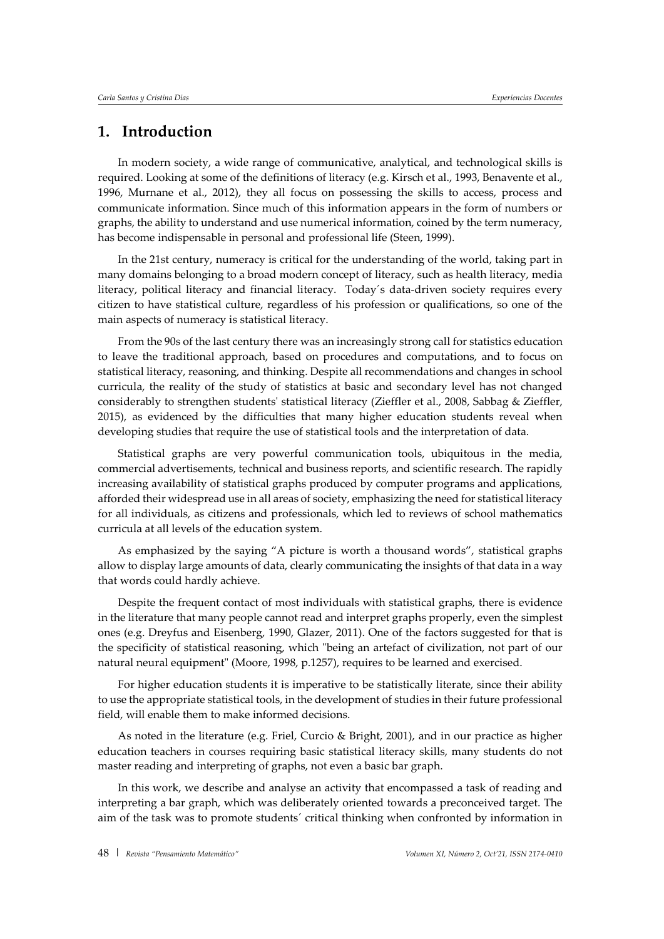## **1. Introduction**

In modern society, a wide range of communicative, analytical, and technological skills is required. Looking at some of the definitions of literacy (e.g. Kirsch et al., 1993, Benavente et al., 1996, Murnane et al., 2012), they all focus on possessing the skills to access, process and communicate information. Since much of this information appears in the form of numbers or graphs, the ability to understand and use numerical information, coined by the term numeracy, has become indispensable in personal and professional life (Steen, 1999).

In the 21st century, numeracy is critical for the understanding of the world, taking part in many domains belonging to a broad modern concept of literacy, such as health literacy, media literacy, political literacy and financial literacy. Today´s data-driven society requires every citizen to have statistical culture, regardless of his profession or qualifications, so one of the main aspects of numeracy is statistical literacy.

From the 90s of the last century there was an increasingly strong call for statistics education to leave the traditional approach, based on procedures and computations, and to focus on statistical literacy, reasoning, and thinking. Despite all recommendations and changes in school curricula, the reality of the study of statistics at basic and secondary level has not changed considerably to strengthen students' statistical literacy (Zieffler et al., 2008, Sabbag & Zieffler, 2015), as evidenced by the difficulties that many higher education students reveal when developing studies that require the use of statistical tools and the interpretation of data.

Statistical graphs are very powerful communication tools, ubiquitous in the media, commercial advertisements, technical and business reports, and scientific research. The rapidly increasing availability of statistical graphs produced by computer programs and applications, afforded their widespread use in all areas of society, emphasizing the need for statistical literacy for all individuals, as citizens and professionals, which led to reviews of school mathematics curricula at all levels of the education system.

As emphasized by the saying "A picture is worth a thousand words", statistical graphs allow to display large amounts of data, clearly communicating the insights of that data in a way that words could hardly achieve.

Despite the frequent contact of most individuals with statistical graphs, there is evidence in the literature that many people cannot read and interpret graphs properly, even the simplest ones (e.g. Dreyfus and Eisenberg, 1990, Glazer, 2011). One of the factors suggested for that is the specificity of statistical reasoning, which "being an artefact of civilization, not part of our natural neural equipment" (Moore, 1998, p.1257), requires to be learned and exercised.

For higher education students it is imperative to be statistically literate, since their ability to use the appropriate statistical tools, in the development of studies in their future professional field, will enable them to make informed decisions.

As noted in the literature (e.g. Friel, Curcio & Bright, 2001), and in our practice as higher education teachers in courses requiring basic statistical literacy skills, many students do not master reading and interpreting of graphs, not even a basic bar graph.

In this work, we describe and analyse an activity that encompassed a task of reading and interpreting a bar graph, which was deliberately oriented towards a preconceived target. The aim of the task was to promote students´ critical thinking when confronted by information in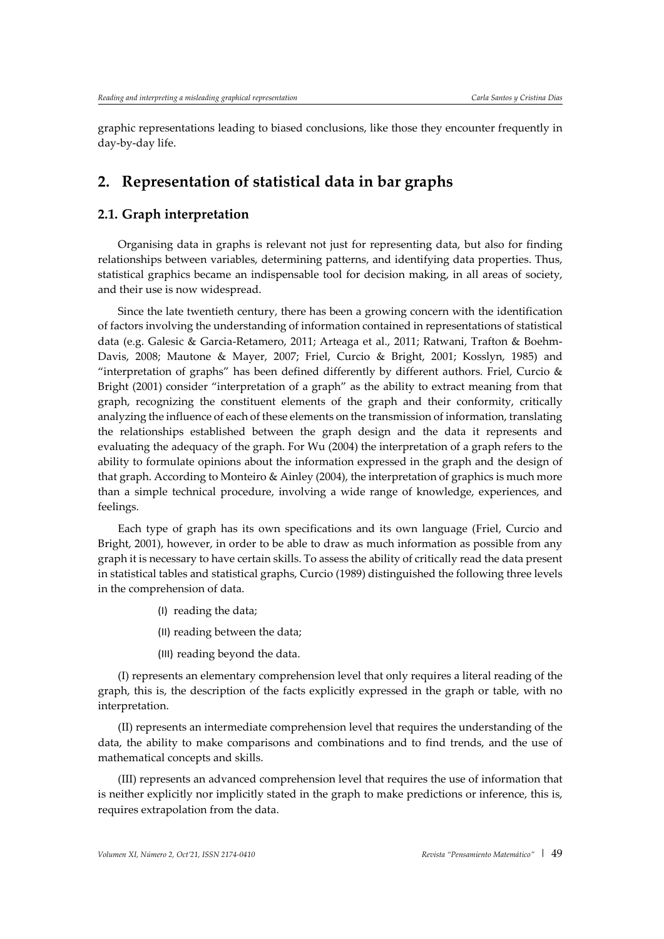graphic representations leading to biased conclusions, like those they encounter frequently in day-by-day life.

## **2. Representation of statistical data in bar graphs**

#### **2.1. Graph interpretation**

Organising data in graphs is relevant not just for representing data, but also for finding relationships between variables, determining patterns, and identifying data properties. Thus, statistical graphics became an indispensable tool for decision making, in all areas of society, and their use is now widespread.

Since the late twentieth century, there has been a growing concern with the identification of factors involving the understanding of information contained in representations of statistical data (e.g. Galesic & Garcia-Retamero, 2011; Arteaga et al., 2011; Ratwani, Trafton & Boehm-Davis, 2008; Mautone & Mayer, 2007; Friel, Curcio & Bright, 2001; Kosslyn, 1985) and "interpretation of graphs" has been defined differently by different authors. Friel, Curcio & Bright (2001) consider "interpretation of a graph" as the ability to extract meaning from that graph, recognizing the constituent elements of the graph and their conformity, critically analyzing the influence of each of these elements on the transmission of information, translating the relationships established between the graph design and the data it represents and evaluating the adequacy of the graph. For Wu (2004) the interpretation of a graph refers to the ability to formulate opinions about the information expressed in the graph and the design of that graph. According to Monteiro & Ainley (2004), the interpretation of graphics is much more than a simple technical procedure, involving a wide range of knowledge, experiences, and feelings.

Each type of graph has its own specifications and its own language (Friel, Curcio and Bright, 2001), however, in order to be able to draw as much information as possible from any graph it is necessary to have certain skills. To assess the ability of critically read the data present in statistical tables and statistical graphs, Curcio (1989) distinguished the following three levels in the comprehension of data.

- (I) reading the data;
- (II) reading between the data;
- (III) reading beyond the data.

(I) represents an elementary comprehension level that only requires a literal reading of the graph, this is, the description of the facts explicitly expressed in the graph or table, with no interpretation.

(II) represents an intermediate comprehension level that requires the understanding of the data, the ability to make comparisons and combinations and to find trends, and the use of mathematical concepts and skills.

(III) represents an advanced comprehension level that requires the use of information that is neither explicitly nor implicitly stated in the graph to make predictions or inference, this is, requires extrapolation from the data.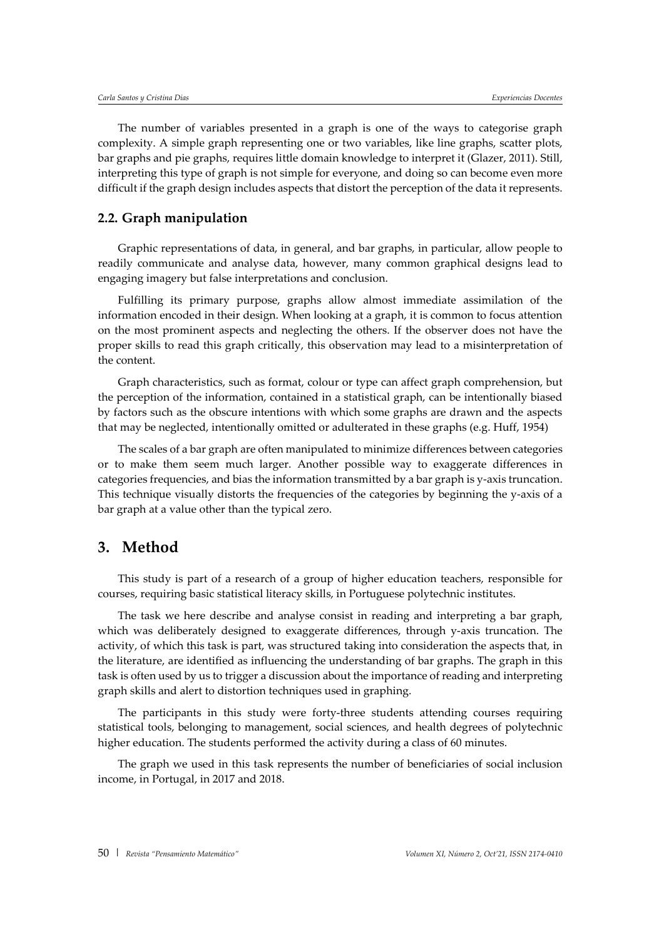The number of variables presented in a graph is one of the ways to categorise graph complexity. A simple graph representing one or two variables, like line graphs, scatter plots, bar graphs and pie graphs, requires little domain knowledge to interpret it (Glazer, 2011). Still, interpreting this type of graph is not simple for everyone, and doing so can become even more difficult if the graph design includes aspects that distort the perception of the data it represents.

#### **2.2. Graph manipulation**

Graphic representations of data, in general, and bar graphs, in particular, allow people to readily communicate and analyse data, however, many common graphical designs lead to engaging imagery but false interpretations and conclusion.

Fulfilling its primary purpose, graphs allow almost immediate assimilation of the information encoded in their design. When looking at a graph, it is common to focus attention on the most prominent aspects and neglecting the others. If the observer does not have the proper skills to read this graph critically, this observation may lead to a misinterpretation of the content.

Graph characteristics, such as format, colour or type can affect graph comprehension, but the perception of the information, contained in a statistical graph, can be intentionally biased by factors such as the obscure intentions with which some graphs are drawn and the aspects that may be neglected, intentionally omitted or adulterated in these graphs (e.g. Huff, 1954)

The scales of a bar graph are often manipulated to minimize differences between categories or to make them seem much larger. Another possible way to exaggerate differences in categories frequencies, and bias the information transmitted by a bar graph is y-axis truncation. This technique visually distorts the frequencies of the categories by beginning the y-axis of a bar graph at a value other than the typical zero.

### **3. Method**

This study is part of a research of a group of higher education teachers, responsible for courses, requiring basic statistical literacy skills, in Portuguese polytechnic institutes.

The task we here describe and analyse consist in reading and interpreting a bar graph, which was deliberately designed to exaggerate differences, through y-axis truncation. The activity, of which this task is part, was structured taking into consideration the aspects that, in the literature, are identified as influencing the understanding of bar graphs. The graph in this task is often used by us to trigger a discussion about the importance of reading and interpreting graph skills and alert to distortion techniques used in graphing.

The participants in this study were forty-three students attending courses requiring statistical tools, belonging to management, social sciences, and health degrees of polytechnic higher education. The students performed the activity during a class of 60 minutes.

The graph we used in this task represents the number of beneficiaries of social inclusion income, in Portugal, in 2017 and 2018.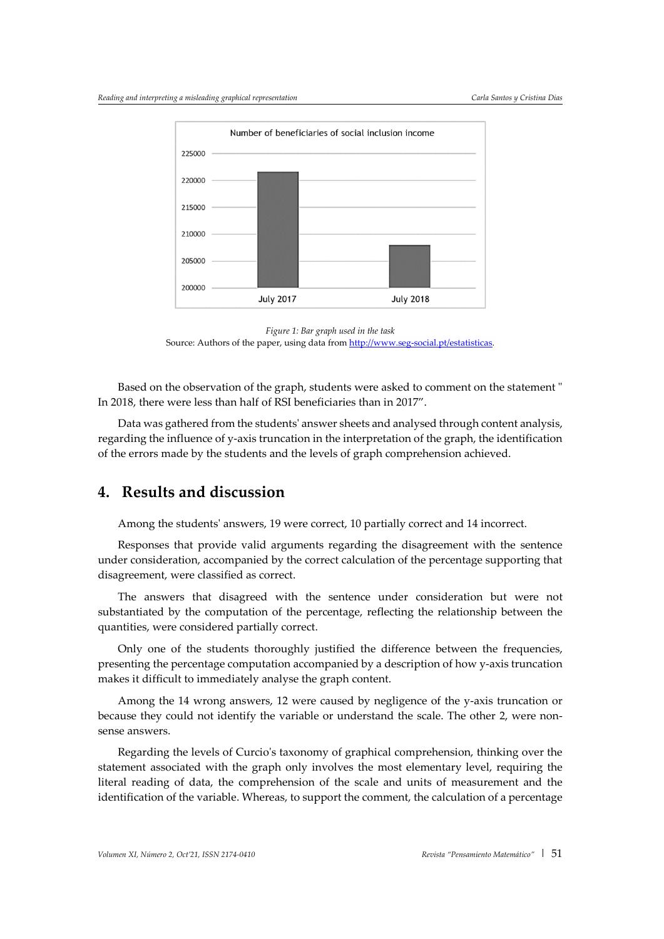

*Figure 1: Bar graph used in the task* Source: Authors of the paper, using data from http://www.seg-social.pt/estatisticas

Based on the observation of the graph, students were asked to comment on the statement " In 2018, there were less than half of RSI beneficiaries than in 2017".

Data was gathered from the students' answer sheets and analysed through content analysis, regarding the influence of y-axis truncation in the interpretation of the graph, the identification of the errors made by the students and the levels of graph comprehension achieved.

### **4. Results and discussion**

Among the students' answers, 19 were correct, 10 partially correct and 14 incorrect.

Responses that provide valid arguments regarding the disagreement with the sentence under consideration, accompanied by the correct calculation of the percentage supporting that disagreement, were classified as correct.

The answers that disagreed with the sentence under consideration but were not substantiated by the computation of the percentage, reflecting the relationship between the quantities, were considered partially correct.

Only one of the students thoroughly justified the difference between the frequencies, presenting the percentage computation accompanied by a description of how y-axis truncation makes it difficult to immediately analyse the graph content.

Among the 14 wrong answers, 12 were caused by negligence of the y-axis truncation or because they could not identify the variable or understand the scale. The other 2, were nonsense answers.

Regarding the levels of Curcio's taxonomy of graphical comprehension, thinking over the statement associated with the graph only involves the most elementary level, requiring the literal reading of data, the comprehension of the scale and units of measurement and the identification of the variable. Whereas, to support the comment, the calculation of a percentage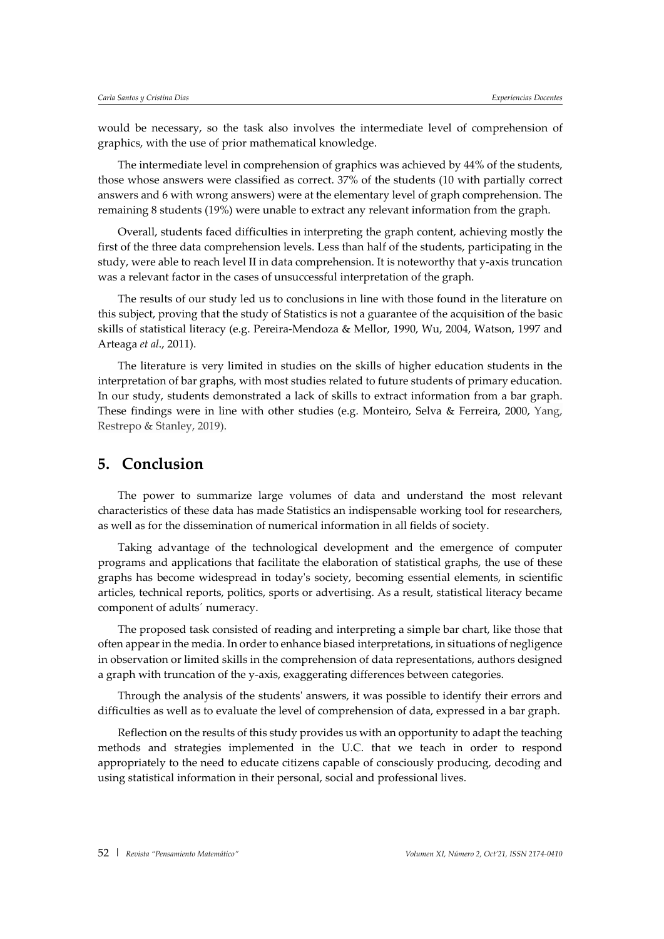would be necessary, so the task also involves the intermediate level of comprehension of graphics, with the use of prior mathematical knowledge.

The intermediate level in comprehension of graphics was achieved by 44% of the students, those whose answers were classified as correct. 37% of the students (10 with partially correct answers and 6 with wrong answers) were at the elementary level of graph comprehension. The remaining 8 students (19%) were unable to extract any relevant information from the graph.

Overall, students faced difficulties in interpreting the graph content, achieving mostly the first of the three data comprehension levels. Less than half of the students, participating in the study, were able to reach level II in data comprehension. It is noteworthy that y-axis truncation was a relevant factor in the cases of unsuccessful interpretation of the graph.

The results of our study led us to conclusions in line with those found in the literature on this subject, proving that the study of Statistics is not a guarantee of the acquisition of the basic skills of statistical literacy (e.g. Pereira-Mendoza & Mellor, 1990, Wu, 2004, Watson, 1997 and Arteaga *et al*., 2011).

The literature is very limited in studies on the skills of higher education students in the interpretation of bar graphs, with most studies related to future students of primary education. In our study, students demonstrated a lack of skills to extract information from a bar graph. These findings were in line with other studies (e.g. Monteiro, Selva & Ferreira, 2000, Yang, Restrepo & Stanley, 2019).

## **5. Conclusion**

The power to summarize large volumes of data and understand the most relevant characteristics of these data has made Statistics an indispensable working tool for researchers, as well as for the dissemination of numerical information in all fields of society.

Taking advantage of the technological development and the emergence of computer programs and applications that facilitate the elaboration of statistical graphs, the use of these graphs has become widespread in today's society, becoming essential elements, in scientific articles, technical reports, politics, sports or advertising. As a result, statistical literacy became component of adults´ numeracy.

The proposed task consisted of reading and interpreting a simple bar chart, like those that often appear in the media. In order to enhance biased interpretations, in situations of negligence in observation or limited skills in the comprehension of data representations, authors designed a graph with truncation of the y-axis, exaggerating differences between categories.

Through the analysis of the students' answers, it was possible to identify their errors and difficulties as well as to evaluate the level of comprehension of data, expressed in a bar graph.

Reflection on the results of this study provides us with an opportunity to adapt the teaching methods and strategies implemented in the U.C. that we teach in order to respond appropriately to the need to educate citizens capable of consciously producing, decoding and using statistical information in their personal, social and professional lives.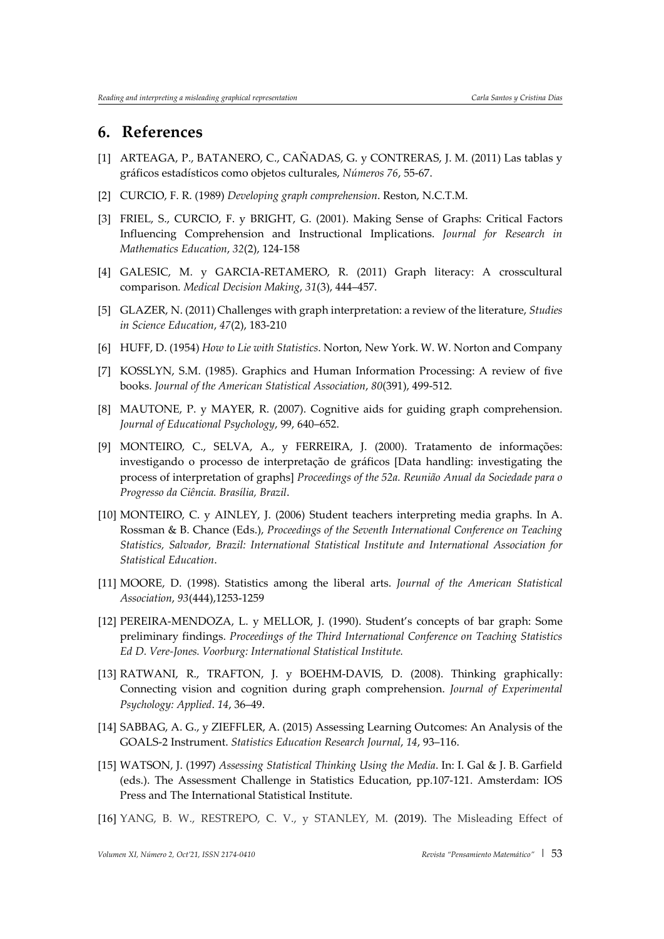#### **6. References**

- [1] ARTEAGA, P., BATANERO, C., CAÑADAS, G. y CONTRERAS, J. M. (2011) Las tablas y gráficos estadísticos como objetos culturales, *Números 76*, 55-67.
- [2] CURCIO, F. R. (1989) *Developing graph comprehension*. Reston, N.C.T.M.
- [3] FRIEL, S., CURCIO, F. y BRIGHT, G. (2001). Making Sense of Graphs: Critical Factors Influencing Comprehension and Instructional Implications. *Journal for Research in Mathematics Education*, *32*(2), 124-158
- [4] GALESIC, M. y GARCIA-RETAMERO, R. (2011) Graph literacy: A crosscultural comparison*. Medical Decision Making*, *31*(3), 444–457.
- [5] GLAZER, N. (2011) Challenges with graph interpretation: a review of the literature, *Studies in Science Education*, *47*(2), 183-210
- [6] HUFF, D. (1954) *How to Lie with Statistics*. Norton, New York. W. W. Norton and Company
- [7] KOSSLYN, S.M. (1985). Graphics and Human Information Processing: A review of five books. *Journal of the American Statistical Association*, *80*(391), 499-512.
- [8] MAUTONE, P. y MAYER, R. (2007). Cognitive aids for guiding graph comprehension. *Journal of Educational Psychology*, 99, 640–652.
- [9] MONTEIRO, C., SELVA, A., y FERREIRA, J. (2000). Tratamento de informações: investigando o processo de interpretação de gráficos [Data handling: investigating the process of interpretation of graphs] *Proceedings of the 52a. Reunião Anual da Sociedade para o Progresso da Ciência. Brasília, Brazil*.
- [10] MONTEIRO, C. y AINLEY, J. (2006) Student teachers interpreting media graphs. In A. Rossman & B. Chance (Eds.), *Proceedings of the Seventh International Conference on Teaching Statistics, Salvador, Brazil: International Statistical Institute and International Association for Statistical Education*.
- [11] MOORE, D. (1998). Statistics among the liberal arts. *Journal of the American Statistical Association*, *93*(444),1253-1259
- [12] PEREIRA-MENDOZA, L. y MELLOR, J. (1990). Student's concepts of bar graph: Some preliminary findings. *Proceedings of the Third International Conference on Teaching Statistics Ed D. Vere-Jones. Voorburg: International Statistical Institute.*
- [13] RATWANI, R., TRAFTON, J. y BOEHM-DAVIS, D. (2008). Thinking graphically: Connecting vision and cognition during graph comprehension. *Journal of Experimental Psychology: Applied*. *14*, 36–49.
- [14] SABBAG, A. G., y ZIEFFLER, A. (2015) Assessing Learning Outcomes: An Analysis of the GOALS-2 Instrument. *Statistics Education Research Journal*, *14*, 93–116.
- [15] WATSON, J. (1997) *Assessing Statistical Thinking Using the Media*. In: I. Gal & J. B. Garfield (eds.). The Assessment Challenge in Statistics Education, pp.107-121. Amsterdam: IOS Press and The International Statistical Institute.
- [16] YANG, B. W., RESTREPO, C. V., y STANLEY, M. (2019). The Misleading Effect of